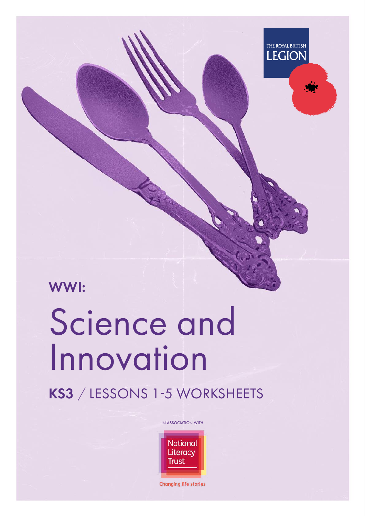

### WWI:

# Science and Innovation

KS3 / LESSONS 1-5 WORKSHEETS



**Changing life stories**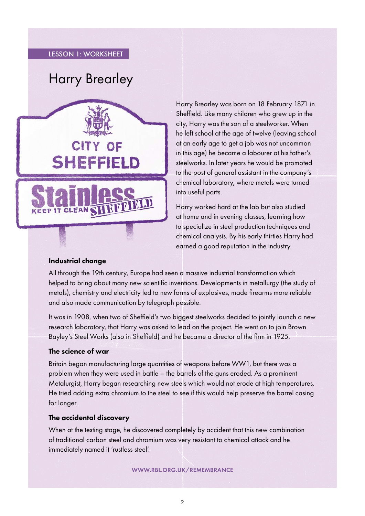#### LESSON 1: WORKSHEET

### Harry Brearley



Harry Brearley was born on 18 February 1871 in Sheffield. Like many children who grew up in the city, Harry was the son of a steelworker. When he left school at the age of twelve (leaving school at an early age to get a job was not uncommon in this age) he became a labourer at his father's steelworks. In later years he would be promoted to the post of general assistant in the company's chemical laboratory, where metals were turned into useful parts.

Harry worked hard at the lab but also studied at home and in evening classes, learning how to specialize in steel production techniques and chemical analysis. By his early thirties Harry had earned a good reputation in the industry.

#### Industrial change

All through the 19th century, Europe had seen a massive industrial transformation which helped to bring about many new scientific inventions. Developments in metallurgy (the study of metals), chemistry and electricity led to new forms of explosives, made firearms more reliable and also made communication by telegraph possible.

It was in 1908, when two of Sheffield's two biggest steelworks decided to jointly launch a new research laboratory, that Harry was asked to lead on the project. He went on to join Brown Bayley's Steel Works (also in Sheffield) and he became a director of the firm in 1925.

#### The science of war

Britain began manufacturing large quantities of weapons before WW1, but there was a problem when they were used in battle – the barrels of the guns eroded. As a prominent Metalurgist, Harry began researching new steels which would not erode at high temperatures. He tried adding extra chromium to the steel to see if this would help preserve the barrel casing for longer.

#### The accidental discovery

When at the testing stage, he discovered completely by accident that this new combination of traditional carbon steel and chromium was very resistant to chemical attack and he immediately named it 'rustless steel'.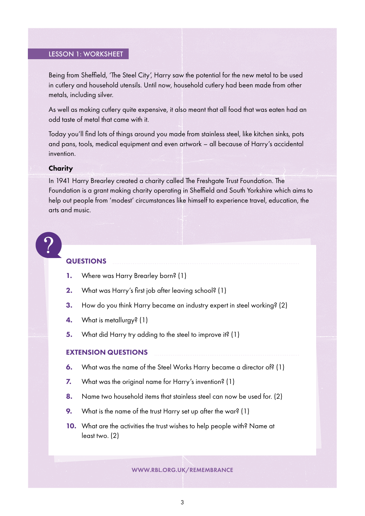#### LESSON 1: WORKSHEET

Being from Sheffield, 'The Steel City', Harry saw the potential for the new metal to be used in cutlery and household utensils. Until now, household cutlery had been made from other metals, including silver.

As well as making cutlery quite expensive, it also meant that all food that was eaten had an odd taste of metal that came with it.

Today you'll find lots of things around you made from stainless steel, like kitchen sinks, pots and pans, tools, medical equipment and even artwork – all because of Harry's accidental invention.

#### **Charity**

In 1941 Harry Brearley created a charity called The Freshgate Trust Foundation. The Foundation is a grant making charity operating in Sheffield and South Yorkshire which aims to help out people from 'modest' circumstances like himself to experience travel, education, the arts and music.

#### **QUESTIONS**

- 1. Where was Harry Brearley born? (1)
- 2. What was Harry's first job after leaving school? (1)
- 3. How do you think Harry became an industry expert in steel working? (2)
- 4. What is metallurgy? (1)
- 5. What did Harry try adding to the steel to improve it? (1)

#### EXTENSION QUESTIONS

- 6. What was the name of the Steel Works Harry became a director of? (1)
- 7. What was the original name for Harry's invention? (1)
- 8. Name two household items that stainless steel can now be used for. (2)
- 9. What is the name of the trust Harry set up after the war? (1)
- 10. What are the activities the trust wishes to help people with? Name at least two. (2)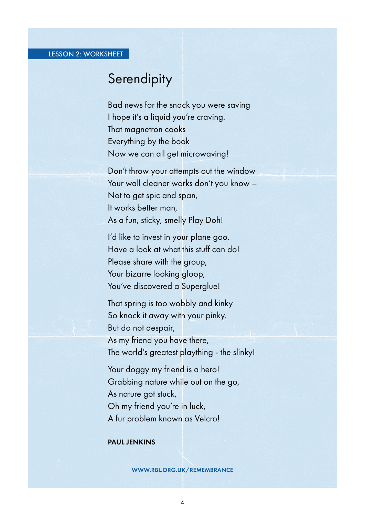#### LESSON 2: WORKSHEET

## **Serendipity**

Bad news for the snack you were saving I hope it's a liquid you're craving. That magnetron cooks Everything by the book Now we can all get microwaving!

Don't throw your attempts out the window Your wall cleaner works don't you know – Not to get spic and span, It works better man, As a fun, sticky, smelly Play Doh!

I'd like to invest in your plane goo. Have a look at what this stuff can do! Please share with the group, Your bizarre looking gloop, You've discovered a Superglue!

That spring is too wobbly and kinky So knock it away with your pinky. But do not despair, As my friend you have there, The world's greatest plaything - the slinky!

Your doggy my friend is a hero! Grabbing nature while out on the go, As nature got stuck, Oh my friend you're in luck, A fur problem known as Velcro!

#### PAUL JENKINS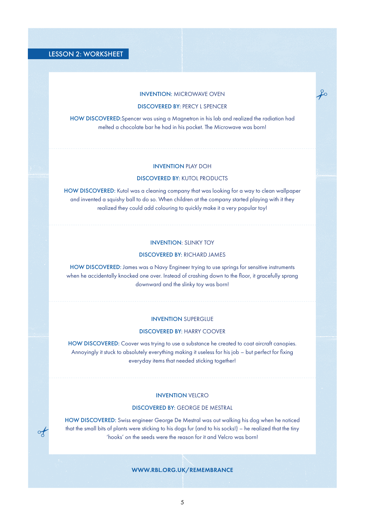#### LESSON 2: WORKSHEET

 $\circ \nmid$ 

#### INVENTION: MICROWAVE OVEN

 $\hat{\mathcal{F}}$ 

#### DISCOVERED BY: PERCY L SPENCER

HOW DISCOVERED:Spencer was using a Magnetron in his lab and realized the radiation had melted a chocolate bar he had in his pocket. The Microwave was born!

#### INVENTION PLAY DOH

#### DISCOVERED BY: KUTOL PRODUCTS

HOW DISCOVERED: Kutol was a cleaning company that was looking for a way to clean wallpaper and invented a squishy ball to do so. When children at the company started playing with it they realized they could add colouring to quickly make it a very popular toy!

#### INVENTION: SLINKY TOY

#### DISCOVERED BY: RICHARD JAMES

HOW DISCOVERED: James was a Navy Engineer trying to use springs for sensitive instruments when he accidentally knocked one over. Instead of crashing down to the floor, it gracefully sprang downward and the slinky toy was born!

#### INVENTION SUPERGLUE

#### DISCOVERED BY: HARRY COOVER

HOW DISCOVERED: Coover was trying to use a substance he created to coat aircraft canopies. Annoyingly it stuck to absolutely everything making it useless for his job – but perfect for fixing everyday items that needed sticking together!

#### INVENTION VELCRO

#### DISCOVERED BY: GEORGE DE MESTRAL

HOW DISCOVERED: Swiss engineer George De Mestral was out walking his dog when he noticed that the small bits of plants were sticking to his dogs fur (and to his socks!) – he realized that the tiny 'hooks' on the seeds were the reason for it and Velcro was born!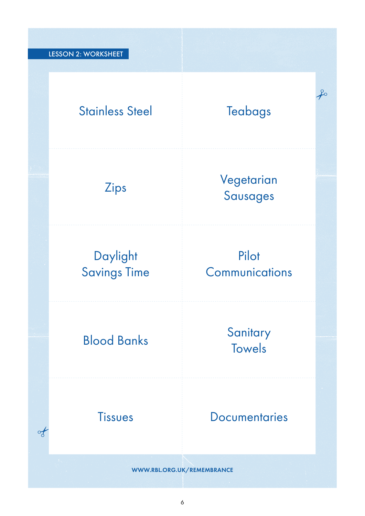## Stainless Steel Teabags

 $\curvearrowleft$ 

### Zips Vegetarian Sausages

Daylight Savings Time

Pilot **Communications** 

Blood Banks Sanitary Towels

 $\circ f$ 

Tissues Documentaries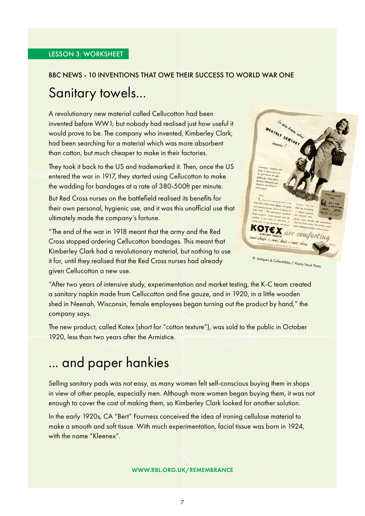#### BBC NEWS - 10 INVENTIONS THAT OWE THEIR SUCCESS TO WORLD WAR ONE

### Sanitary towels...

A revolutionary new material called Cellucotton had been invented before WW1, but nobody had realised just how useful it would prove to be. The company who invented, Kimberley Clark, had been searching for a material which was more absorbent than cotton, but much cheaper to make in their factories.

They took it back to the US and trademarked it. Then, once the US entered the war in 1917, they started using Cellucotton to make the wadding for bandages at a rate of 380-500ft per minute.

But Red Cross nurses on the battlefield realised its benefits for their own personal, hygienic use, and it was this unofficial use that ultimately made the company's fortune.

"The end of the war in 1918 meant that the army and the Red Cross stopped ordering Cellucotton bandages. This meant that Kimberley Clark had a revolutionary material, but nothing to use it for, until they realised that the Red Cross nurses had already given Cellucotton a new use.



"After two years of intensive study, experimentation and market testing, the K-C team created a sanitary napkin made from Cellucotton and fine gauze, and in 1920, in a little wooden shed in Neenah, Wisconsin, female employees began turning out the product by hand," the company says.

The new product, called Kotex (short for "cotton texture"), was sold to the public in October 1920, less than two years after the Armistice.

### ... and paper hankies

Selling sanitary pads was not easy, as many women felt self-conscious buying them in shops in view of other people, especially men. Although more women began buying them, it was not enough to cover the cost of making them, so Kimberley Clark looked for another solution.

In the early 1920s, CA "Bert" Fourness conceived the idea of ironing cellulose material to make a smooth and soft tissue. With much experimentation, facial tissue was born in 1924, with the name "Kleenex".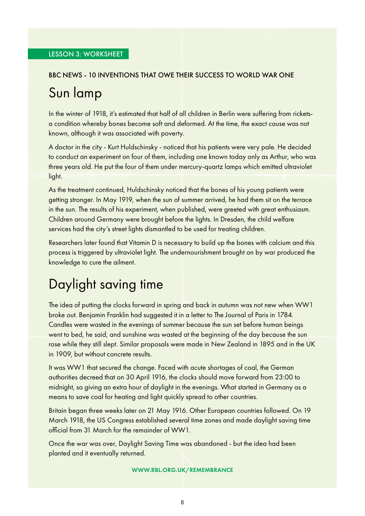#### BBC NEWS - 10 INVENTIONS THAT OWE THEIR SUCCESS TO WORLD WAR ONE

### Sun lamp

In the winter of 1918, it's estimated that half of all children in Berlin were suffering from ricketsa condition whereby bones become soft and deformed. At the time, the exact cause was not known, although it was associated with poverty.

A doctor in the city - Kurt Huldschinsky - noticed that his patients were very pale. He decided to conduct an experiment on four of them, including one known today only as Arthur, who was three years old. He put the four of them under mercury-quartz lamps which emitted ultraviolet light.

As the treatment continued, Huldschinsky noticed that the bones of his young patients were getting stronger. In May 1919, when the sun of summer arrived, he had them sit on the terrace in the sun. The results of his experiment, when published, were greeted with great enthusiasm. Children around Germany were brought before the lights. In Dresden, the child welfare services had the city's street lights dismantled to be used for treating children.

Researchers later found that Vitamin D is necessary to build up the bones with calcium and this process is triggered by ultraviolet light. The undernourishment brought on by war produced the knowledge to cure the ailment.

### Daylight saving time

The idea of putting the clocks forward in spring and back in autumn was not new when WW1 broke out. Benjamin Franklin had suggested it in a letter to The Journal of Paris in 1784. Candles were wasted in the evenings of summer because the sun set before human beings went to bed, he said, and sunshine was wasted at the beginning of the day because the sun rose while they still slept. Similar proposals were made in New Zealand in 1895 and in the UK in 1909, but without concrete results.

It was WW1 that secured the change. Faced with acute shortages of coal, the German authorities decreed that on 30 April 1916, the clocks should move forward from 23:00 to midnight, so giving an extra hour of daylight in the evenings. What started in Germany as a means to save coal for heating and light quickly spread to other countries.

Britain began three weeks later on 21 May 1916. Other European countries followed. On 19 March 1918, the US Congress established several time zones and made daylight saving time official from 31 March for the remainder of WW1.

Once the war was over, Daylight Saving Time was abandoned - but the idea had been planted and it eventually returned.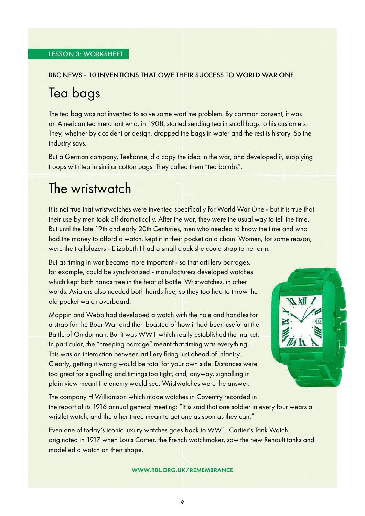#### LESSON 3: WORKSHEET

#### BBC NEWS - 10 INVENTIONS THAT OWE THEIR SUCCESS TO WORLD WAR ONE

### Tea bags

The tea bag was not invented to solve some wartime problem. By common consent, it was an American tea merchant who, in 1908, started sending tea in small bags to his customers. They, whether by accident or design, dropped the bags in water and the rest is history. So the industry says.

But a German company, Teekanne, did copy the idea in the war, and developed it, supplying troops with tea in similar cotton bags. They called them "tea bombs".

### The wristwatch

It is not true that wristwatches were invented specifically for World War One - but it is true that their use by men took off dramatically. After the war, they were the usual way to tell the time. But until the late 19th and early 20th Centuries, men who needed to know the time and who had the money to afford a watch, kept it in their pocket on a chain. Women, for some reason, were the trailblazers - Elizabeth I had a small clock she could strap to her arm.

But as timing in war became more important - so that artillery barrages, for example, could be synchronised - manufacturers developed watches which kept both hands free in the heat of battle. Wristwatches, in other words. Aviators also needed both hands free, so they too had to throw the old pocket watch overboard.

Mappin and Webb had developed a watch with the hole and handles for a strap for the Boer War and then boasted of how it had been useful at the Battle of Omdurman. But it was WW1 which really established the market. In particular, the "creeping barrage" meant that timing was everything. This was an interaction between artillery firing just ahead of infantry. Clearly, getting it wrong would be fatal for your own side. Distances were too great for signalling and timings too tight, and, anyway, signalling in plain view meant the enemy would see. Wristwatches were the answer.



The company H Williamson which made watches in Coventry recorded in the report of its 1916 annual general meeting: "It is said that one soldier in every four wears a wristlet watch, and the other three mean to get one as soon as they can."

Even one of today's iconic luxury watches goes back to WW1. Cartier's Tank Watch originated in 1917 when Louis Cartier, the French watchmaker, saw the new Renault tanks and modelled a watch on their shape.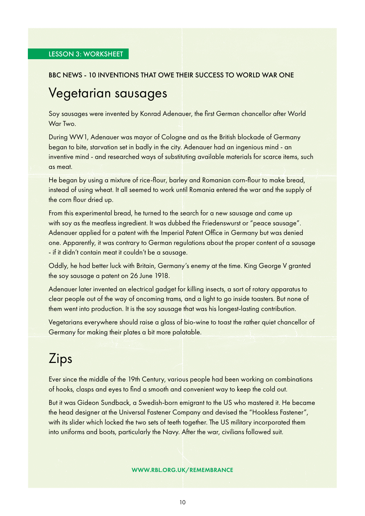#### BBC NEWS - 10 INVENTIONS THAT OWE THEIR SUCCESS TO WORLD WAR ONE

### Vegetarian sausages

Soy sausages were invented by Konrad Adenauer, the first German chancellor after World War Two.

During WW1, Adenauer was mayor of Cologne and as the British blockade of Germany began to bite, starvation set in badly in the city. Adenauer had an ingenious mind - an inventive mind - and researched ways of substituting available materials for scarce items, such as meat.

He began by using a mixture of rice-flour, barley and Romanian corn-flour to make bread, instead of using wheat. It all seemed to work until Romania entered the war and the supply of the corn flour dried up.

From this experimental bread, he turned to the search for a new sausage and came up with soy as the meatless ingredient. It was dubbed the Friedenswurst or "peace sausage". Adenauer applied for a patent with the Imperial Patent Office in Germany but was denied one. Apparently, it was contrary to German regulations about the proper content of a sausage - if it didn't contain meat it couldn't be a sausage.

Oddly, he had better luck with Britain, Germany's enemy at the time. King George V granted the soy sausage a patent on 26 June 1918.

Adenauer later invented an electrical gadget for killing insects, a sort of rotary apparatus to clear people out of the way of oncoming trams, and a light to go inside toasters. But none of them went into production. It is the soy sausage that was his longest-lasting contribution.

Vegetarians everywhere should raise a glass of bio-wine to toast the rather quiet chancellor of Germany for making their plates a bit more palatable.

## Zips

Ever since the middle of the 19th Century, various people had been working on combinations of hooks, clasps and eyes to find a smooth and convenient way to keep the cold out.

But it was Gideon Sundback, a Swedish-born emigrant to the US who mastered it. He became the head designer at the Universal Fastener Company and devised the "Hookless Fastener", with its slider which locked the two sets of teeth together. The US military incorporated them into uniforms and boots, particularly the Navy. After the war, civilians followed suit.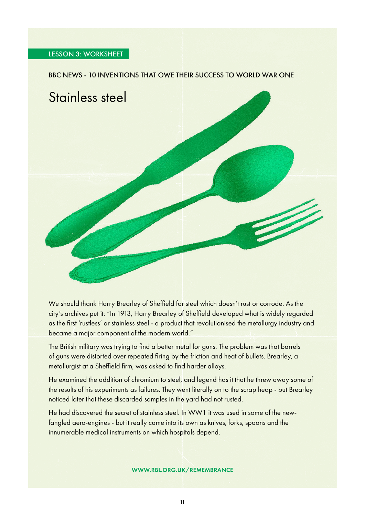#### LESSON 3: WORKSHEET

#### BBC NEWS - 10 INVENTIONS THAT OWE THEIR SUCCESS TO WORLD WAR ONE



We should thank Harry Brearley of Sheffield for steel which doesn't rust or corrode. As the city's archives put it: "In 1913, Harry Brearley of Sheffield developed what is widely regarded as the first 'rustless' or stainless steel - a product that revolutionised the metallurgy industry and became a major component of the modern world."

The British military was trying to find a better metal for guns. The problem was that barrels of guns were distorted over repeated firing by the friction and heat of bullets. Brearley, a metallurgist at a Sheffield firm, was asked to find harder alloys.

He examined the addition of chromium to steel, and legend has it that he threw away some of the results of his experiments as failures. They went literally on to the scrap heap - but Brearley noticed later that these discarded samples in the yard had not rusted.

He had discovered the secret of stainless steel. In WW1 it was used in some of the newfangled aero-engines - but it really came into its own as knives, forks, spoons and the innumerable medical instruments on which hospitals depend.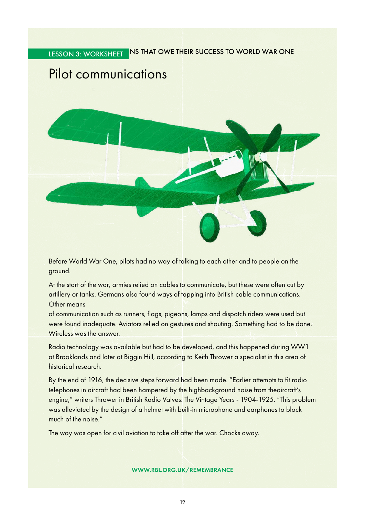#### INS THAT OWE THEIR SUCCESS TO WORLD WAR ONE LESSON 3: WORKSHEET

### Pilot communications



Before World War One, pilots had no way of talking to each other and to people on the ground.

At the start of the war, armies relied on cables to communicate, but these were often cut by artillery or tanks. Germans also found ways of tapping into British cable communications. Other means

of communication such as runners, flags, pigeons, lamps and dispatch riders were used but were found inadequate. Aviators relied on gestures and shouting. Something had to be done. Wireless was the answer.

Radio technology was available but had to be developed, and this happened during WW1 at Brooklands and later at Biggin Hill, according to Keith Thrower a specialist in this area of historical research.

By the end of 1916, the decisive steps forward had been made. "Earlier attempts to fit radio telephones in aircraft had been hampered by the highbackground noise from theaircraft's engine," writers Thrower in British Radio Valves: The Vintage Years - 1904-1925. "This problem was alleviated by the design of a helmet with built-in microphone and earphones to block much of the noise."

The way was open for civil aviation to take off after the war. Chocks away.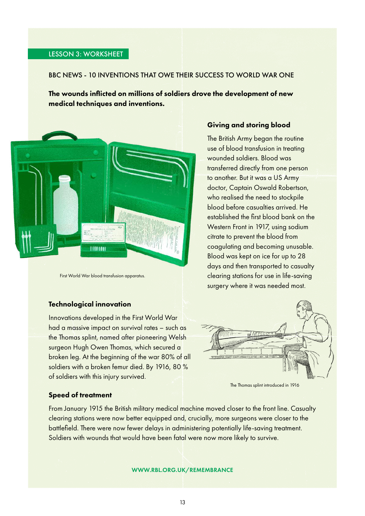#### LESSON 3: WORKSHEET

#### BBC NEWS - 10 INVENTIONS THAT OWE THEIR SUCCESS TO WORLD WAR ONE

The wounds inflicted on millions of soldiers drove the development of new medical techniques and inventions.



First World War blood transfusion apparatus.

#### Technological innovation

Innovations developed in the First World War had a massive impact on survival rates – such as the Thomas splint, named after pioneering Welsh surgeon Hugh Owen Thomas, which secured a broken leg. At the beginning of the war 80% of all soldiers with a broken femur died. By 1916, 80 % of soldiers with this injury survived.

#### Speed of treatment

Giving and storing blood

The British Army began the routine use of blood transfusion in treating wounded soldiers. Blood was transferred directly from one person to another. But it was a US Army doctor, Captain Oswald Robertson, who realised the need to stockpile blood before casualties arrived. He established the first blood bank on the Western Front in 1917, using sodium citrate to prevent the blood from coagulating and becoming unusable. Blood was kept on ice for up to 28 days and then transported to casualty clearing stations for use in life-saving surgery where it was needed most.



The Thomas splint introduced in 1916

From January 1915 the British military medical machine moved closer to the front line. Casualty clearing stations were now better equipped and, crucially, more surgeons were closer to the battlefield. There were now fewer delays in administering potentially life-saving treatment. Soldiers with wounds that would have been fatal were now more likely to survive.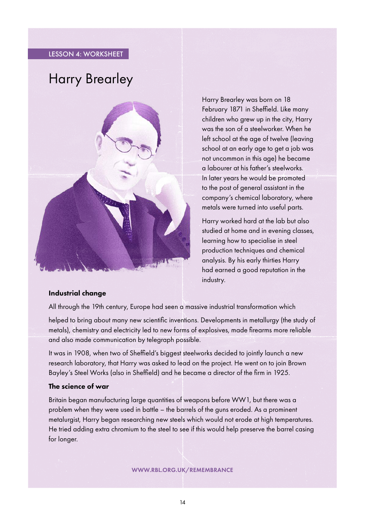#### LESSON 4: WORKSHEET

### Harry Brearley



Harry Brearley was born on 18 February 1871 in Sheffield. Like many children who grew up in the city, Harry was the son of a steelworker. When he left school at the age of twelve (leaving school at an early age to get a job was not uncommon in this age) he became a labourer at his father's steelworks. In later years he would be promoted to the post of general assistant in the company's chemical laboratory, where metals were turned into useful parts.

Harry worked hard at the lab but also studied at home and in evening classes, learning how to specialise in steel production techniques and chemical analysis. By his early thirties Harry had earned a good reputation in the industry.

#### Industrial change

All through the 19th century, Europe had seen a massive industrial transformation which

helped to bring about many new scientific inventions. Developments in metallurgy (the study of metals), chemistry and electricity led to new forms of explosives, made firearms more reliable and also made communication by telegraph possible.

It was in 1908, when two of Sheffield's biggest steelworks decided to jointly launch a new research laboratory, that Harry was asked to lead on the project. He went on to join Brown Bayley's Steel Works (also in Sheffield) and he became a director of the firm in 1925.

#### The science of war

Britain began manufacturing large quantities of weapons before WW1, but there was a problem when they were used in battle – the barrels of the guns eroded. As a prominent metalurgist, Harry began researching new steels which would not erode at high temperatures. He tried adding extra chromium to the steel to see if this would help preserve the barrel casing for longer.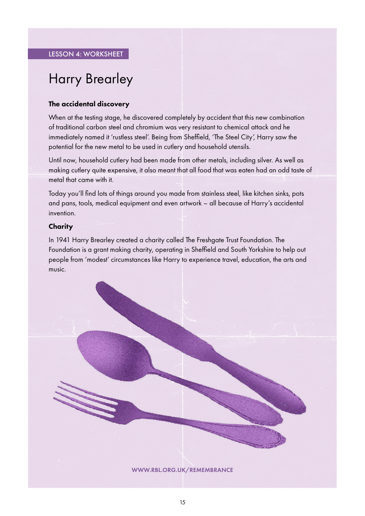### Harry Brearley

#### The accidental discovery

When at the testing stage, he discovered completely by accident that this new combination of traditional carbon steel and chromium was very resistant to chemical attack and he immediately named it 'rustless steel'. Being from Sheffield, 'The Steel City', Harry saw the potential for the new metal to be used in cutlery and household utensils.

Until now, household cutlery had been made from other metals, including silver. As well as making cutlery quite expensive, it also meant that all food that was eaten had an odd taste of metal that came with it.

Today you'll find lots of things around you made from stainless steel, like kitchen sinks, pots and pans, tools, medical equipment and even artwork – all because of Harry's accidental invention.

#### **Charity**

In 1941 Harry Brearley created a charity called The Freshgate Trust Foundation. The Foundation is a grant making charity, operating in Sheffield and South Yorkshire to help out people from 'modest' circumstances like Harry to experience travel, education, the arts and music.

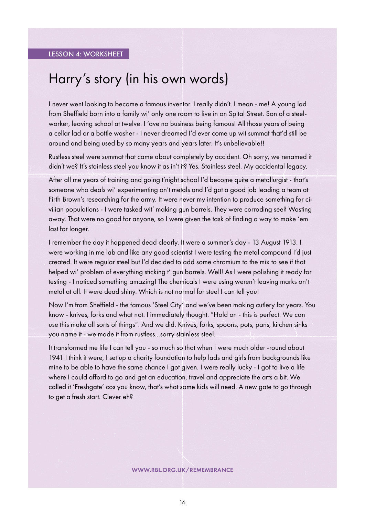### Harry's story (in his own words)

I never went looking to become a famous inventor. I really didn't. I mean - me! A young lad from Sheffield born into a family wi' only one room to live in on Spital Street. Son of a steelworker, leaving school at twelve. I 'ave no business being famous! All those years of being a cellar lad or a bottle washer - I never dreamed I'd ever come up wit summat that'd still be around and being used by so many years and years later. It's unbelievable!!

Rustless steel were summat that came about completely by accident. Oh sorry, we renamed it didn't we? It's stainless steel you know it as in't it? Yes. Stainless steel. My accidental legacy.

After all me years of training and going t'night school I'd become quite a metallurgist - that's someone who deals wi' experimenting on't metals and I'd got a good job leading a team at Firth Brown's researching for the army. It were never my intention to produce something for civilian populations - I were tasked wit' making gun barrels. They were corroding see? Wasting away. That were no good for anyone, so I were given the task of finding a way to make 'em last for longer.

I remember the day it happened dead clearly. It were a summer's day - 13 August 1913. I were working in me lab and like any good scientist I were testing the metal compound I'd just created. It were regular steel but I'd decided to add some chromium to the mix to see if that helped wi' problem of everything sticking t' gun barrels. Well! As I were polishing it ready for testing - I noticed something amazing! The chemicals I were using weren't leaving marks on't metal at all. It were dead shiny. Which is not normal for steel I can tell you!

Now I'm from Sheffield - the famous 'Steel City' and we've been making cutlery for years. You know - knives, forks and what not. I immediately thought. "Hold on - this is perfect. We can use this make all sorts of things". And we did. Knives, forks, spoons, pots, pans, kitchen sinks you name it - we made it from rustless...sorry stainless steel.

It transformed me life I can tell you - so much so that when I were much older -round about 1941 I think it were, I set up a charity foundation to help lads and girls from backgrounds like mine to be able to have the same chance I got given. I were really lucky - I got to live a life where I could afford to go and get an education, travel and appreciate the arts a bit. We called it 'Freshgate' cos you know, that's what some kids will need. A new gate to go through to get a fresh start. Clever eh?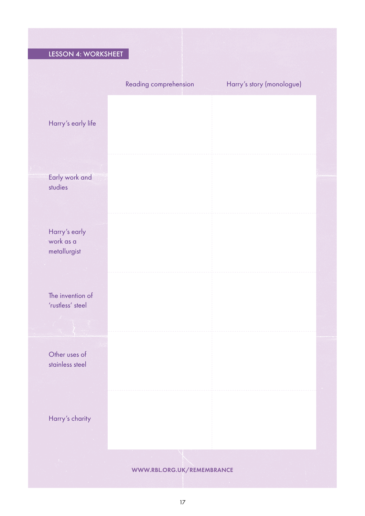### LESSON 4: WORKSHEET

|                                            | Reading comprehension | Harry's story (monologue) |
|--------------------------------------------|-----------------------|---------------------------|
| Harry's early life                         |                       |                           |
| Early work and<br>studies                  |                       |                           |
| Harry's early<br>work as a<br>metallurgist |                       |                           |
| The invention of<br>'rustless' steel       |                       |                           |
| Other uses of<br>stainless steel           |                       |                           |
| Harry's charity                            |                       |                           |
| WWW.RBL.ORG.UK/REMEMBRANCE                 |                       |                           |